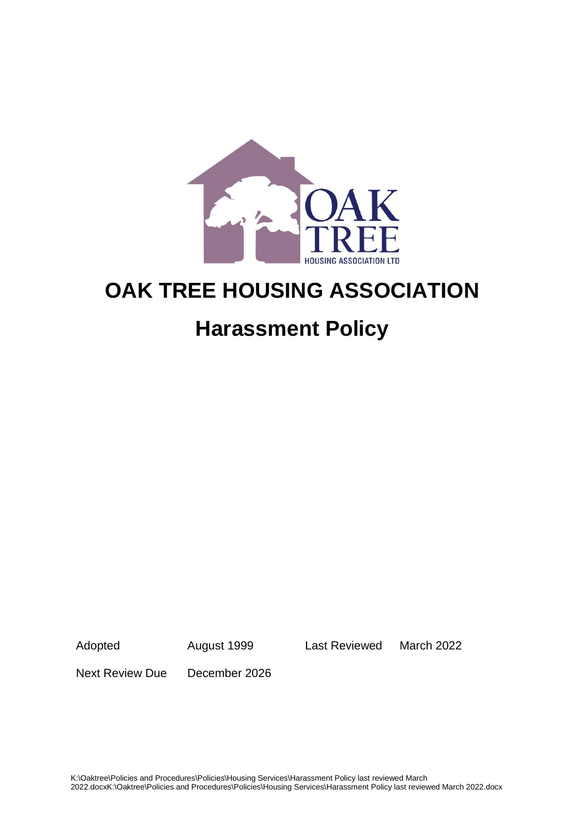

# **OAK TREE HOUSING ASSOCIATION**

## **Harassment Policy**

Adopted August 1999 Last Reviewed March 2022

Next Review Due December 2026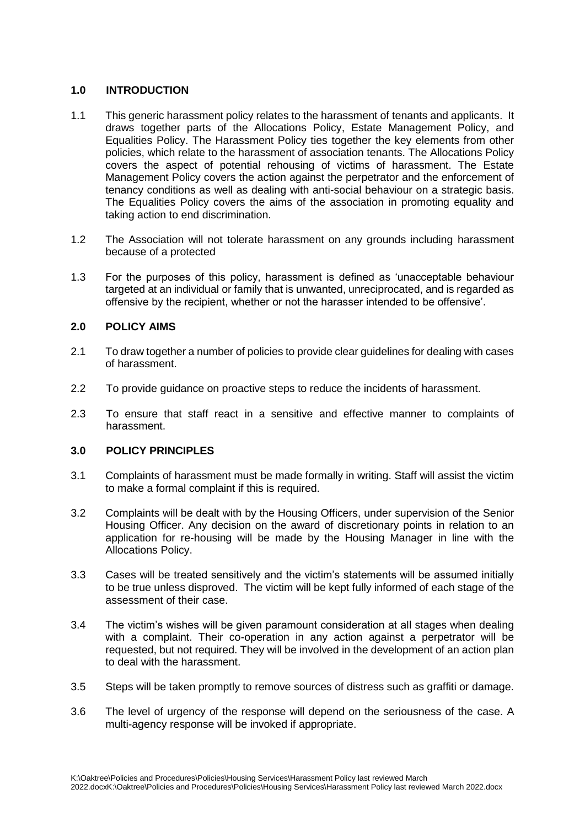## **1.0 INTRODUCTION**

- 1.1 This generic harassment policy relates to the harassment of tenants and applicants. It draws together parts of the Allocations Policy, Estate Management Policy, and Equalities Policy. The Harassment Policy ties together the key elements from other policies, which relate to the harassment of association tenants. The Allocations Policy covers the aspect of potential rehousing of victims of harassment. The Estate Management Policy covers the action against the perpetrator and the enforcement of tenancy conditions as well as dealing with anti-social behaviour on a strategic basis. The Equalities Policy covers the aims of the association in promoting equality and taking action to end discrimination.
- 1.2 The Association will not tolerate harassment on any grounds including harassment because of a protected
- 1.3 For the purposes of this policy, harassment is defined as 'unacceptable behaviour targeted at an individual or family that is unwanted, unreciprocated, and is regarded as offensive by the recipient, whether or not the harasser intended to be offensive'.

## **2.0 POLICY AIMS**

- 2.1 To draw together a number of policies to provide clear guidelines for dealing with cases of harassment.
- 2.2 To provide guidance on proactive steps to reduce the incidents of harassment.
- 2.3 To ensure that staff react in a sensitive and effective manner to complaints of harassment.

## **3.0 POLICY PRINCIPLES**

- 3.1 Complaints of harassment must be made formally in writing. Staff will assist the victim to make a formal complaint if this is required.
- 3.2 Complaints will be dealt with by the Housing Officers, under supervision of the Senior Housing Officer. Any decision on the award of discretionary points in relation to an application for re-housing will be made by the Housing Manager in line with the Allocations Policy.
- 3.3 Cases will be treated sensitively and the victim's statements will be assumed initially to be true unless disproved. The victim will be kept fully informed of each stage of the assessment of their case.
- 3.4 The victim's wishes will be given paramount consideration at all stages when dealing with a complaint. Their co-operation in any action against a perpetrator will be requested, but not required. They will be involved in the development of an action plan to deal with the harassment.
- 3.5 Steps will be taken promptly to remove sources of distress such as graffiti or damage.
- 3.6 The level of urgency of the response will depend on the seriousness of the case. A multi-agency response will be invoked if appropriate.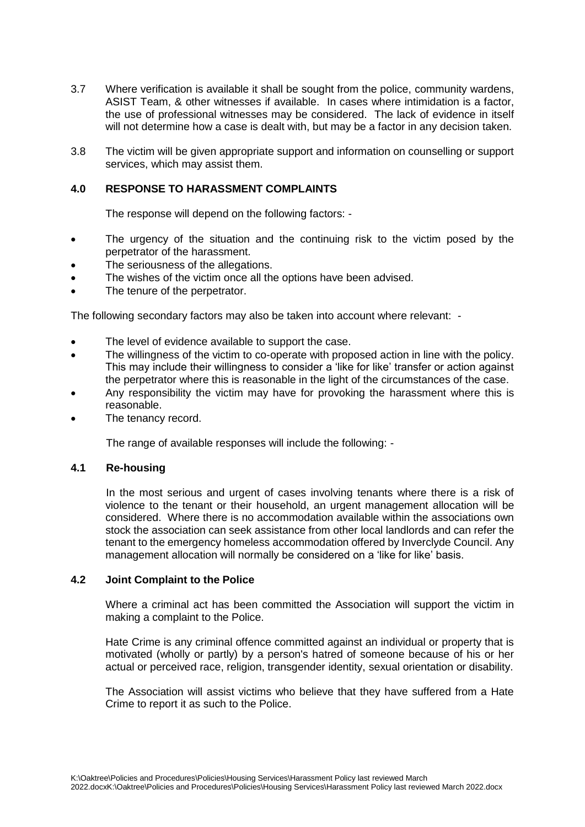- 3.7 Where verification is available it shall be sought from the police, community wardens, ASIST Team, & other witnesses if available. In cases where intimidation is a factor, the use of professional witnesses may be considered. The lack of evidence in itself will not determine how a case is dealt with, but may be a factor in any decision taken.
- 3.8 The victim will be given appropriate support and information on counselling or support services, which may assist them.

### **4.0 RESPONSE TO HARASSMENT COMPLAINTS**

The response will depend on the following factors: -

- The urgency of the situation and the continuing risk to the victim posed by the perpetrator of the harassment.
- The seriousness of the allegations.
- The wishes of the victim once all the options have been advised.
- The tenure of the perpetrator.

The following secondary factors may also be taken into account where relevant: -

- The level of evidence available to support the case.
- The willingness of the victim to co-operate with proposed action in line with the policy. This may include their willingness to consider a 'like for like' transfer or action against the perpetrator where this is reasonable in the light of the circumstances of the case.
- Any responsibility the victim may have for provoking the harassment where this is reasonable.
- The tenancy record.

The range of available responses will include the following: -

### **4.1 Re-housing**

In the most serious and urgent of cases involving tenants where there is a risk of violence to the tenant or their household, an urgent management allocation will be considered. Where there is no accommodation available within the associations own stock the association can seek assistance from other local landlords and can refer the tenant to the emergency homeless accommodation offered by Inverclyde Council. Any management allocation will normally be considered on a 'like for like' basis.

#### **4.2 Joint Complaint to the Police**

Where a criminal act has been committed the Association will support the victim in making a complaint to the Police.

Hate Crime is any criminal offence committed against an individual or property that is motivated (wholly or partly) by a person's hatred of someone because of his or her actual or perceived race, religion, transgender identity, sexual orientation or disability.

The Association will assist victims who believe that they have suffered from a Hate Crime to report it as such to the Police.